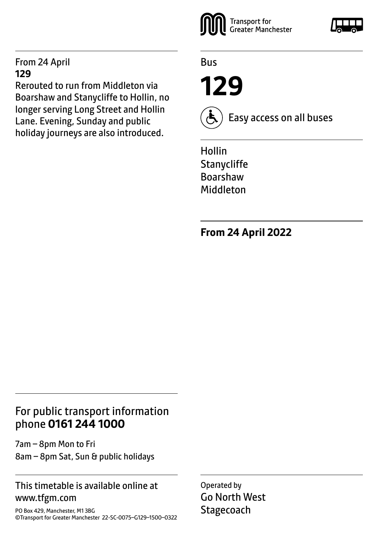#### From 24 April **129**

Rerouted to run from Middleton via Boarshaw and Stanycliffe to Hollin, no longer serving Long Street and Hollin Lane. Evening, Sunday and public holiday journeys are also introduced.



Bus

**129**



Easy access on all buses

Hollin **Stanycliffe** Boarshaw Middleton

**From 24 April 2022**

### For public transport information phone **0161 244 1000**

7am – 8pm Mon to Fri 8am – 8pm Sat, Sun & public holidays

#### This timetable is available online at www.tfgm.com

PO Box 429, Manchester, M1 3BG ©Transport for Greater Manchester 22-SC-0075–G129–1500–0322 Operated by Go North West **Stagecoach**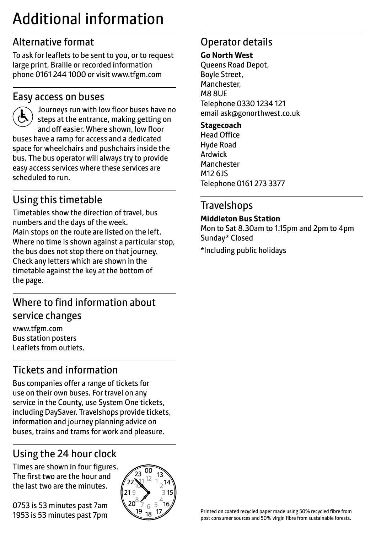## Additional information

## Alternative format

To ask for leaflets to be sent to you, or to request large print, Braille or recorded information phone 0161 244 1000 or visit www.tfgm.com

#### Easy access on buses



 Journeys run with low floor buses have no steps at the entrance, making getting on and off easier. Where shown, low floor buses have a ramp for access and a dedicated space for wheelchairs and pushchairs inside the bus. The bus operator will always try to provide easy access services where these services are scheduled to run.

## Using this timetable

Timetables show the direction of travel, bus numbers and the days of the week. Main stops on the route are listed on the left. Where no time is shown against a particular stop, the bus does not stop there on that journey. Check any letters which are shown in the timetable against the key at the bottom of the page.

## Where to find information about service changes

www.tfgm.com Bus station posters Leaflets from outlets.

## Tickets and information

Bus companies offer a range of tickets for use on their own buses. For travel on any service in the County, use System One tickets, including DaySaver. Travelshops provide tickets, information and journey planning advice on buses, trains and trams for work and pleasure.

## Using the 24 hour clock

Times are shown in four figures. The first two are the hour and the last two are the minutes.

0753 is 53 minutes past 7am 1953 is 53 minutes past 7pm



## Operator details

#### **Go North West**

Queens Road Depot, Boyle Street, Manchester, M8 8UE Telephone 0330 1234 121 email ask@gonorthwest.co.uk

#### **Stagecoach**

Head Office Hyde Road Ardwick Manchester M12 6JS Telephone 0161 273 3377

## **Travelshops**

**Middleton Bus Station**

Mon to Sat 8.30am to 1.15pm and 2pm to 4pm Sunday\* Closed \*Including public holidays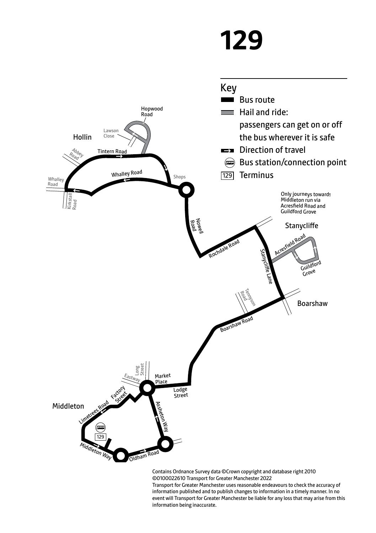# **129**



Contains Ordnance Survey data ©Crown copyright and database right 2010 ©0100022610 Transport for Greater Manchester 2022

Transport for Greater Manchester uses reasonable endeavours to check the accuracy of information published and to publish changes to information in a timely manner. In no event will Transport for Greater Manchester be liable for any loss that may arise from this information being inaccurate.